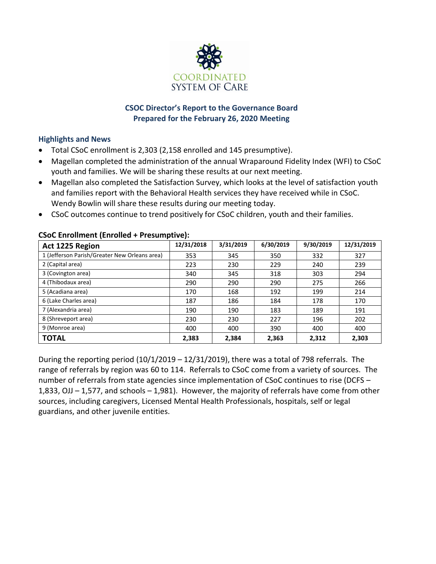

## **CSOC Director's Report to the Governance Board Prepared for the February 26, 2020 Meeting**

## **Highlights and News**

- Total CSoC enrollment is 2,303 (2,158 enrolled and 145 presumptive).
- Magellan completed the administration of the annual Wraparound Fidelity Index (WFI) to CSoC youth and families. We will be sharing these results at our next meeting.
- Magellan also completed the Satisfaction Survey, which looks at the level of satisfaction youth and families report with the Behavioral Health services they have received while in CSoC. Wendy Bowlin will share these results during our meeting today.
- CSoC outcomes continue to trend positively for CSoC children, youth and their families.

| Act 1225 Region                               | 12/31/2018 | 3/31/2019 | 6/30/2019 | 9/30/2019 | 12/31/2019 |
|-----------------------------------------------|------------|-----------|-----------|-----------|------------|
| 1 (Jefferson Parish/Greater New Orleans area) | 353        | 345       | 350       | 332       | 327        |
| 2 (Capital area)                              | 223        | 230       | 229       | 240       | 239        |
| 3 (Covington area)                            | 340        | 345       | 318       | 303       | 294        |
| 4 (Thibodaux area)                            | 290        | 290       | 290       | 275       | 266        |
| 5 (Acadiana area)                             | 170        | 168       | 192       | 199       | 214        |
| 6 (Lake Charles area)                         | 187        | 186       | 184       | 178       | 170        |
| 7 (Alexandria area)                           | 190        | 190       | 183       | 189       | 191        |
| 8 (Shreveport area)                           | 230        | 230       | 227       | 196       | 202        |
| 9 (Monroe area)                               | 400        | 400       | 390       | 400       | 400        |
| <b>TOTAL</b>                                  | 2,383      | 2,384     | 2,363     | 2,312     | 2,303      |

## **CSoC Enrollment (Enrolled + Presumptive):**

During the reporting period  $(10/1/2019 - 12/31/2019)$ , there was a total of 798 referrals. The range of referrals by region was 60 to 114. Referrals to CSoC come from a variety of sources. The number of referrals from state agencies since implementation of CSoC continues to rise (DCFS – 1,833, OJJ – 1,577, and schools – 1,981). However, the majority of referrals have come from other sources, including caregivers, Licensed Mental Health Professionals, hospitals, self or legal guardians, and other juvenile entities.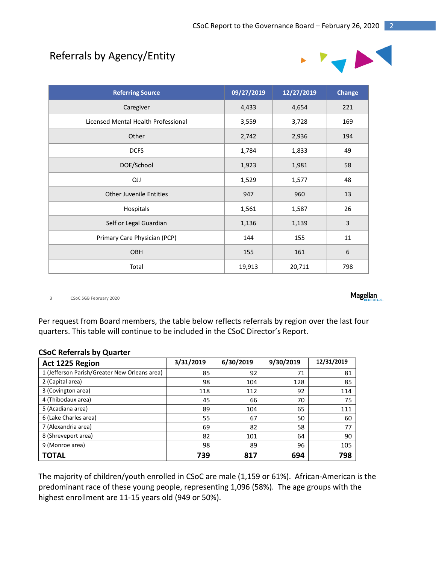# Referrals by Agency/Entity



| <b>Referring Source</b>             | 09/27/2019 | 12/27/2019 | <b>Change</b>    |
|-------------------------------------|------------|------------|------------------|
| Caregiver                           | 4,433      | 4,654      | 221              |
| Licensed Mental Health Professional | 3,559      | 3,728      | 169              |
| Other                               | 2,742      | 2,936      | 194              |
| <b>DCFS</b>                         | 1,784      | 1,833      | 49               |
| DOE/School                          | 1,923      | 1,981      | 58               |
| <b>OJJ</b>                          | 1,529      | 1,577      | 48               |
| <b>Other Juvenile Entities</b>      | 947        | 960        | 13               |
| Hospitals                           | 1,561      | 1,587      | 26               |
| Self or Legal Guardian              | 1,136      | 1,139      | 3                |
| Primary Care Physician (PCP)        | 144        | 155        | 11               |
| OBH                                 | 155        | 161        | $\boldsymbol{6}$ |
| Total                               | 19,913     | 20,711     | 798              |

3 CSoC SGB February 2020

Per request from Board members, the table below reflects referrals by region over the last four quarters. This table will continue to be included in the CSoC Director's Report.

| Act 1225 Region                               | 3/31/2019 | 6/30/2019 | 9/30/2019 | 12/31/2019 |
|-----------------------------------------------|-----------|-----------|-----------|------------|
| 1 (Jefferson Parish/Greater New Orleans area) | 85        | 92        | 71        | 81         |
| 2 (Capital area)                              | 98        | 104       | 128       | 85         |
| 3 (Covington area)                            | 118       | 112       | 92        | 114        |
| 4 (Thibodaux area)                            | 45        | 66        | 70        | 75         |
| 5 (Acadiana area)                             | 89        | 104       | 65        | 111        |
| 6 (Lake Charles area)                         | 55        | 67        | 50        | 60         |
| 7 (Alexandria area)                           | 69        | 82        | 58        | 77         |
| 8 (Shreveport area)                           | 82        | 101       | 64        | 90         |
| 9 (Monroe area)                               | 98        | 89        | 96        | 105        |
| <b>TOTAL</b>                                  | 739       | 817       | 694       | 798        |

The majority of children/youth enrolled in CSoC are male (1,159 or 61%). African-American is the predominant race of these young people, representing 1,096 (58%). The age groups with the highest enrollment are 11-15 years old (949 or 50%).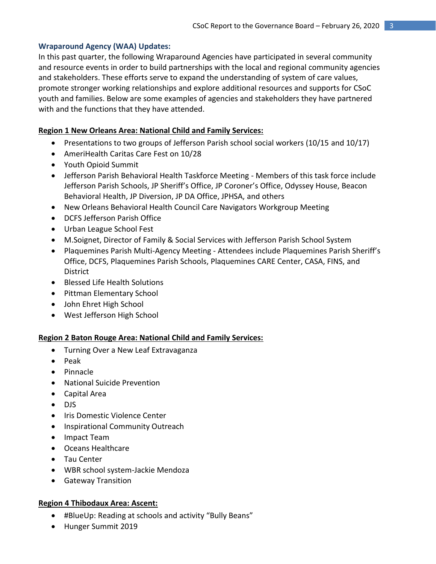## **Wraparound Agency (WAA) Updates:**

In this past quarter, the following Wraparound Agencies have participated in several community and resource events in order to build partnerships with the local and regional community agencies and stakeholders. These efforts serve to expand the understanding of system of care values, promote stronger working relationships and explore additional resources and supports for CSoC youth and families. Below are some examples of agencies and stakeholders they have partnered with and the functions that they have attended.

## **Region 1 New Orleans Area: National Child and Family Services:**

- Presentations to two groups of Jefferson Parish school social workers (10/15 and 10/17)
- AmeriHealth Caritas Care Fest on 10/28
- Youth Opioid Summit
- Jefferson Parish Behavioral Health Taskforce Meeting Members of this task force include Jefferson Parish Schools, JP Sheriff's Office, JP Coroner's Office, Odyssey House, Beacon Behavioral Health, JP Diversion, JP DA Office, JPHSA, and others
- New Orleans Behavioral Health Council Care Navigators Workgroup Meeting
- DCFS Jefferson Parish Office
- Urban League School Fest
- M.Soignet, Director of Family & Social Services with Jefferson Parish School System
- Plaquemines Parish Multi-Agency Meeting Attendees include Plaquemines Parish Sheriff's Office, DCFS, Plaquemines Parish Schools, Plaquemines CARE Center, CASA, FINS, and **District**
- Blessed Life Health Solutions
- Pittman Elementary School
- John Ehret High School
- West Jefferson High School

## **Region 2 Baton Rouge Area: National Child and Family Services:**

- Turning Over a New Leaf Extravaganza
- $\bullet$  Peak
- Pinnacle
- National Suicide Prevention
- Capital Area
- DJS
- Iris Domestic Violence Center
- Inspirational Community Outreach
- Impact Team
- Oceans Healthcare
- Tau Center
- WBR school system-Jackie Mendoza
- **•** Gateway Transition

## **Region 4 Thibodaux Area: Ascent:**

- #BlueUp: Reading at schools and activity "Bully Beans"
- Hunger Summit 2019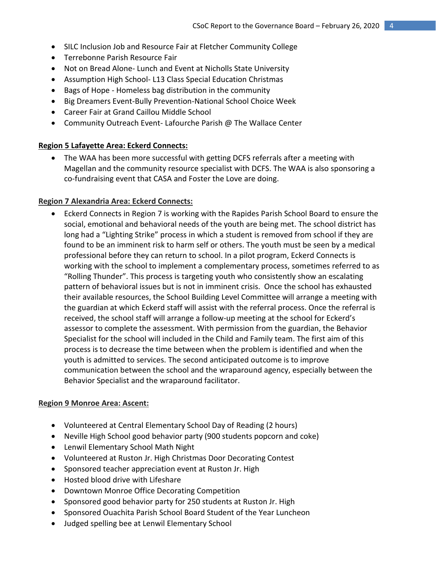- SILC Inclusion Job and Resource Fair at Fletcher Community College
- Terrebonne Parish Resource Fair
- Not on Bread Alone- Lunch and Event at Nicholls State University
- Assumption High School- L13 Class Special Education Christmas
- Bags of Hope Homeless bag distribution in the community
- Big Dreamers Event-Bully Prevention-National School Choice Week
- Career Fair at Grand Caillou Middle School
- Community Outreach Event-Lafourche Parish @ The Wallace Center

## **Region 5 Lafayette Area: Eckerd Connects:**

 The WAA has been more successful with getting DCFS referrals after a meeting with Magellan and the community resource specialist with DCFS. The WAA is also sponsoring a co-fundraising event that CASA and Foster the Love are doing.

## **Region 7 Alexandria Area: Eckerd Connects:**

 Eckerd Connects in Region 7 is working with the Rapides Parish School Board to ensure the social, emotional and behavioral needs of the youth are being met. The school district has long had a "Lighting Strike" process in which a student is removed from school if they are found to be an imminent risk to harm self or others. The youth must be seen by a medical professional before they can return to school. In a pilot program, Eckerd Connects is working with the school to implement a complementary process, sometimes referred to as "Rolling Thunder". This process is targeting youth who consistently show an escalating pattern of behavioral issues but is not in imminent crisis. Once the school has exhausted their available resources, the School Building Level Committee will arrange a meeting with the guardian at which Eckerd staff will assist with the referral process. Once the referral is received, the school staff will arrange a follow-up meeting at the school for Eckerd's assessor to complete the assessment. With permission from the guardian, the Behavior Specialist for the school will included in the Child and Family team. The first aim of this process is to decrease the time between when the problem is identified and when the youth is admitted to services. The second anticipated outcome is to improve communication between the school and the wraparound agency, especially between the Behavior Specialist and the wraparound facilitator.

## **Region 9 Monroe Area: Ascent:**

- Volunteered at Central Elementary School Day of Reading (2 hours)
- Neville High School good behavior party (900 students popcorn and coke)
- Lenwil Elementary School Math Night
- Volunteered at Ruston Jr. High Christmas Door Decorating Contest
- Sponsored teacher appreciation event at Ruston Jr. High
- Hosted blood drive with Lifeshare
- Downtown Monroe Office Decorating Competition
- Sponsored good behavior party for 250 students at Ruston Jr. High
- Sponsored Ouachita Parish School Board Student of the Year Luncheon
- Judged spelling bee at Lenwil Elementary School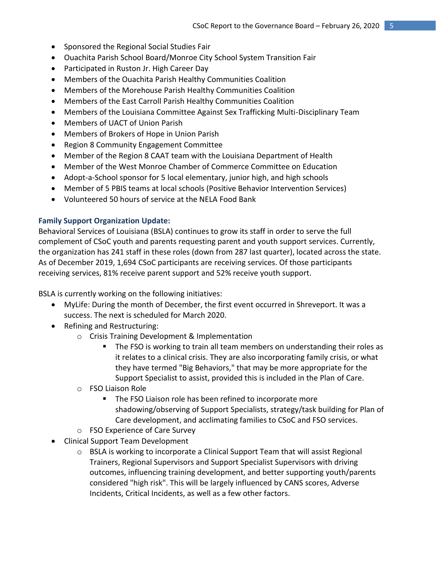- Sponsored the Regional Social Studies Fair
- Ouachita Parish School Board/Monroe City School System Transition Fair
- Participated in Ruston Jr. High Career Day
- Members of the Ouachita Parish Healthy Communities Coalition
- Members of the Morehouse Parish Healthy Communities Coalition
- Members of the East Carroll Parish Healthy Communities Coalition
- Members of the Louisiana Committee Against Sex Trafficking Multi-Disciplinary Team
- Members of UACT of Union Parish
- Members of Brokers of Hope in Union Parish
- Region 8 Community Engagement Committee
- Member of the Region 8 CAAT team with the Louisiana Department of Health
- Member of the West Monroe Chamber of Commerce Committee on Education
- Adopt-a-School sponsor for 5 local elementary, junior high, and high schools
- Member of 5 PBIS teams at local schools (Positive Behavior Intervention Services)
- Volunteered 50 hours of service at the NELA Food Bank

## **Family Support Organization Update:**

Behavioral Services of Louisiana (BSLA) continues to grow its staff in order to serve the full complement of CSoC youth and parents requesting parent and youth support services. Currently, the organization has 241 staff in these roles (down from 287 last quarter), located across the state. As of December 2019, 1,694 CSoC participants are receiving services. Of those participants receiving services, 81% receive parent support and 52% receive youth support.

BSLA is currently working on the following initiatives:

- MyLife: During the month of December, the first event occurred in Shreveport. It was a success. The next is scheduled for March 2020.
- Refining and Restructuring:
	- o Crisis Training Development & Implementation
		- **The FSO is working to train all team members on understanding their roles as** it relates to a clinical crisis. They are also incorporating family crisis, or what they have termed "Big Behaviors," that may be more appropriate for the Support Specialist to assist, provided this is included in the Plan of Care.
	- o FSO Liaison Role
		- The FSO Liaison role has been refined to incorporate more shadowing/observing of Support Specialists, strategy/task building for Plan of Care development, and acclimating families to CSoC and FSO services.
	- o FSO Experience of Care Survey
- Clinical Support Team Development
	- $\circ$  BSLA is working to incorporate a Clinical Support Team that will assist Regional Trainers, Regional Supervisors and Support Specialist Supervisors with driving outcomes, influencing training development, and better supporting youth/parents considered "high risk". This will be largely influenced by CANS scores, Adverse Incidents, Critical Incidents, as well as a few other factors.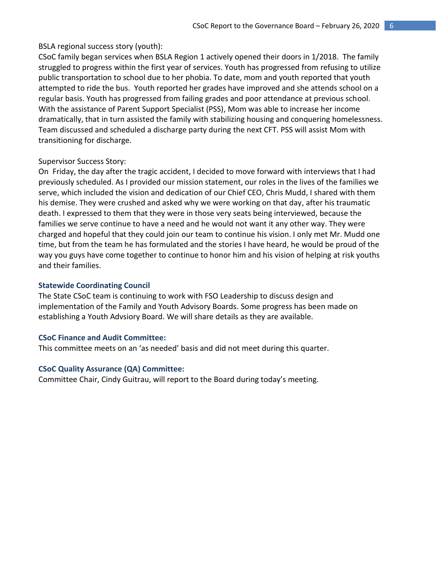#### BSLA regional success story (youth):

CSoC family began services when BSLA Region 1 actively opened their doors in 1/2018. The family struggled to progress within the first year of services. Youth has progressed from refusing to utilize public transportation to school due to her phobia. To date, mom and youth reported that youth attempted to ride the bus. Youth reported her grades have improved and she attends school on a regular basis. Youth has progressed from failing grades and poor attendance at previous school. With the assistance of Parent Support Specialist (PSS), Mom was able to increase her income dramatically, that in turn assisted the family with stabilizing housing and conquering homelessness. Team discussed and scheduled a discharge party during the next CFT. PSS will assist Mom with transitioning for discharge.

#### Supervisor Success Story:

On Friday, the day after the tragic accident, I decided to move forward with interviews that I had previously scheduled. As I provided our mission statement, our roles in the lives of the families we serve, which included the vision and dedication of our Chief CEO, Chris Mudd, I shared with them his demise. They were crushed and asked why we were working on that day, after his traumatic death. I expressed to them that they were in those very seats being interviewed, because the families we serve continue to have a need and he would not want it any other way. They were charged and hopeful that they could join our team to continue his vision. I only met Mr. Mudd one time, but from the team he has formulated and the stories I have heard, he would be proud of the way you guys have come together to continue to honor him and his vision of helping at risk youths and their families.

#### **Statewide Coordinating Council**

The State CSoC team is continuing to work with FSO Leadership to discuss design and implementation of the Family and Youth Advisory Boards. Some progress has been made on establishing a Youth Advsiory Board. We will share details as they are available.

#### **CSoC Finance and Audit Committee:**

This committee meets on an 'as needed' basis and did not meet during this quarter.

#### **CSoC Quality Assurance (QA) Committee:**

Committee Chair, Cindy Guitrau, will report to the Board during today's meeting.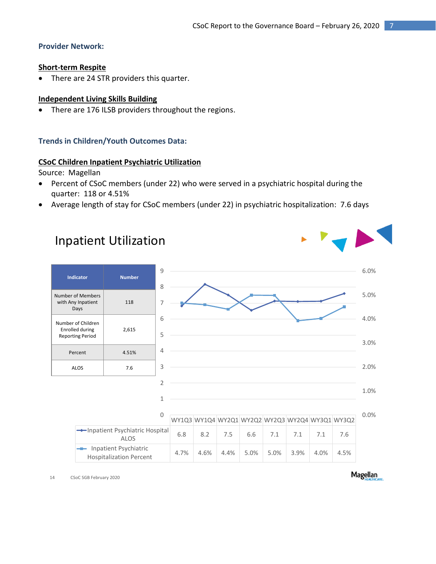## **Provider Network:**

## **Short-term Respite**

There are 24 STR providers this quarter.

## **Independent Living Skills Building**

There are 176 ILSB providers throughout the regions.

## **Trends in Children/Youth Outcomes Data:**

## **CSoC Children Inpatient Psychiatric Utilization**

Source: Magellan

- Percent of CSoC members (under 22) who were served in a psychiatric hospital during the quarter: 118 or 4.51%
- Average length of stay for CSoC members (under 22) in psychiatric hospitalization: 7.6 days



14 CSoC SGB February 2020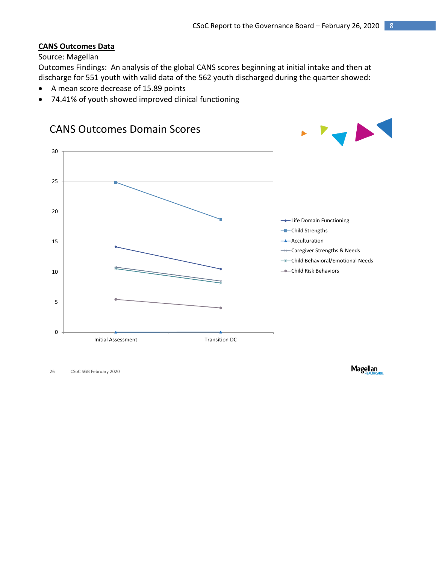## **CANS Outcomes Data**

## Source: Magellan

Outcomes Findings: An analysis of the global CANS scores beginning at initial intake and then at discharge for 551 youth with valid data of the 562 youth discharged during the quarter showed:

- A mean score decrease of 15.89 points
- 74.41% of youth showed improved clinical functioning



26 CSoC SGB February 2020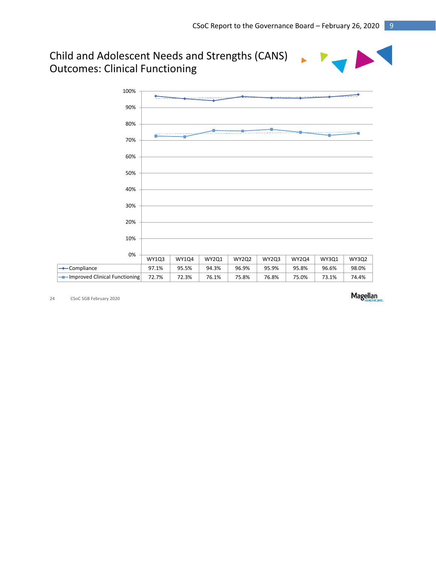# Child and Adolescent Needs and Strengths (CANS) Outcomes: Clinical Functioning



24 CSoC SGB February 2020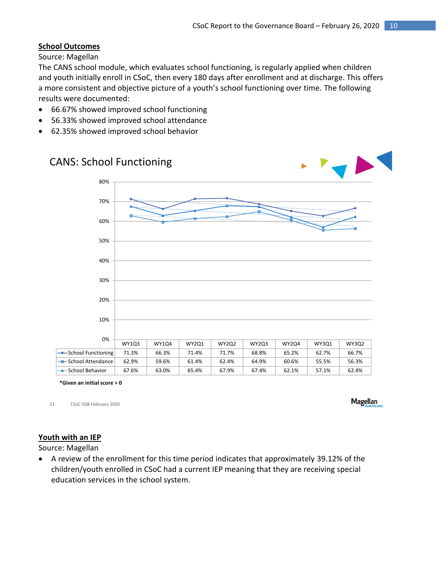## **School Outcomes**

Source: Magellan

The CANS school module, which evaluates school functioning, is regularly applied when children and youth initially enroll in CSoC, then every 180 days after enrollment and at discharge. This offers a more consistent and objective picture of a youth's school functioning over time. The following results were documented:

- 66.67% showed improved school functioning
- 56.33% showed improved school attendance
- 62.35% showed improved school behavior



**\*Given an initial score > 0**

21 CSoC SGB February 2020

**Magellan** 

## **Youth with an IEP**

Source: Magellan

 A review of the enrollment for this time period indicates that approximately 39.12% of the children/youth enrolled in CSoC had a current IEP meaning that they are receiving special education services in the school system.